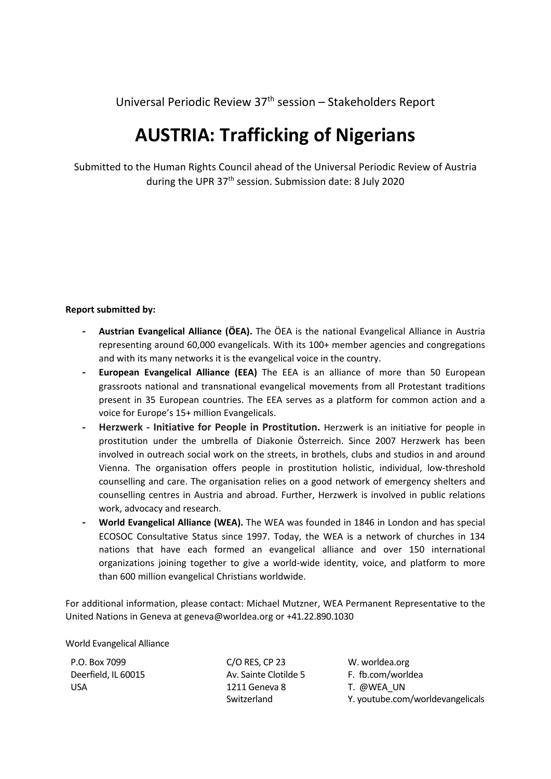Universal Periodic Review 37<sup>th</sup> session – Stakeholders Report

## **AUSTRIA: Trafficking of Nigerians**

Submitted to the Human Rights Council ahead of the Universal Periodic Review of Austria during the UPR 37<sup>th</sup> session. Submission date: 8 July 2020

## **Report submitted by:**

- **- Austrian Evangelical Alliance (ÖEA).** The ÖEA is the national Evangelical Alliance in Austria representing around 60,000 evangelicals. With its 100+ member agencies and congregations and with its many networks it is the evangelical voice in the country.
- **European Evangelical Alliance (EEA)** The EEA is an alliance of more than 50 European grassroots national and transnational evangelical movements from all Protestant traditions present in 35 European countries. The EEA serves as <sup>a</sup> platform for common action and <sup>a</sup> voice for Europe'<sup>s</sup> 15+ million Evangelicals.
- **Herzwerk - Initiative for People in Prostitution.** Herzwerk is an initiative for people in prostitution under the umbrella of Diakonie Österreich. Since <sup>2007</sup> Herzwerk has been involved in outreach social work on the streets, in brothels, clubs and studios in and around Vienna. The organisation offers people in prostitution holistic, individual, low-threshold counselling and care. The organisation relies on <sup>a</sup> good network of emergency shelters and counselling centres in Austria and abroad. Further, Herzwerk is involved in public relations work, advocacy and research.
- **- World Evangelical Alliance (WEA).** The WEA was founded in 1846 in London and has special ECOSOC Consultative Status since 1997. Today, the WEA is <sup>a</sup> network of churches in 134 nations that have each formed an evangelical alliance and over 150 international organizations joining together to give <sup>a</sup> world-wide identity, voice, and platform to more than 600 million evangelical Christians worldwide.

For additional information, please contact: Michael Mutzner, WEA Permanent Representative to the United Nations in Geneva at geneva@worldea.org or +41.22.890.1030

World Evangelical Alliance

P.O. Box 7099 Deerfield, IL 60015 USA

C/O RES, CP 23 Av. Sainte Clotilde 5 1211 Geneva 8 Switzerland

W. worldea.org F. fb.com/worldea T. @WEA\_UN Y. youtube.com/worldevangelicals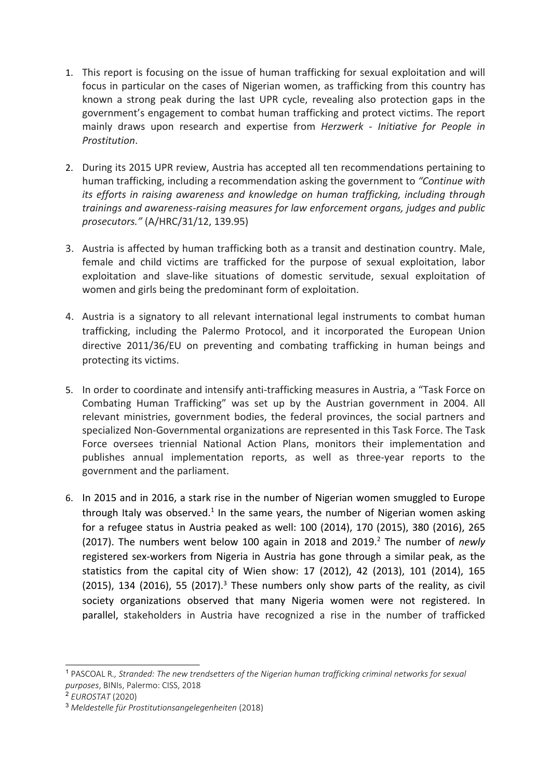- 1. This report is focusing on the issue of human trafficking for sexual exploitation and will focus in particular on the cases of Nigerian women, as trafficking from this country has known <sup>a</sup> strong peak during the last UPR cycle, revealing also protection gaps in the government'<sup>s</sup> engagement to combat human trafficking and protect victims. The report mainly draws upon research and expertise from *Herzwerk - Initiative for People in Prostitution*.
- 2. During its 2015 UPR review, Austria has accepted all ten recommendations pertaining to human trafficking, including <sup>a</sup> recommendation asking the government to *"Continue with its efforts in raising awareness and knowledge on human trafficking, including through trainings and awareness-raising measures for law enforcement organs, judges and public prosecutors."* (A/HRC/31/12, 139.95)
- 3. Austria is affected by human trafficking both as <sup>a</sup> transit and destination country. Male, female and child victims are trafficked for the purpose of sexual exploitation, labor exploitation and slave-like situations of domestic servitude, sexual exploitation of women and girls being the predominant form of exploitation.
- 4. Austria is <sup>a</sup> signatory to all relevant international legal instruments to combat human trafficking, including the Palermo Protocol, and it incorporated the European Union directive 2011/36/EU on preventing and combating trafficking in human beings and protecting its victims.
- 5. In order to coordinate and intensify anti-trafficking measures in Austria, <sup>a</sup> "Task Force on Combating Human Trafficking" was set up by the Austrian government in 2004. All relevant ministries, government bodies, the federal provinces, the social partners and specialized Non-Governmental organizations are represented in this Task Force. The Task Force oversees triennial National Action Plans, monitors their implementation and publishes annual implementation reports, as well as three-year reports to the government and the parliament.
- 6. In 2015 and in 2016, <sup>a</sup> stark rise in the number of Nigerian women smuggled to Europe through Italy was observed.<sup>1</sup> In the same years, the number of Nigerian women asking for <sup>a</sup> refugee status in Austria peaked as well: 100 (2014), 170 (2015), 380 (2016), 265 (2017). The numbers went below 100 again in 2018 and 2019. 2 The number of *newly* registered sex-workers from Nigeria in Austria has gone through <sup>a</sup> similar peak, as the statistics from the capital city of Wien show: 17 (2012), 42 (2013), 101 (2014), 165 (2015), 134 (2016), 55 (2017). $^3$  These numbers only show parts of the reality, as civil society organizations observed that many Nigeria women were not registered. In parallel, stakeholders in Austria have recognized <sup>a</sup> rise in the number of trafficked

<sup>1</sup> PASCOAL R*., Stranded: The new trendsetters of the Nigerian human trafficking criminal networks for sexual purposes*, BINIs, Palermo: CISS, 2018

<sup>2</sup> *EUROSTAT* (2020)

<sup>3</sup> *Meldestelle für Prostitutionsangelegenheiten* (2018)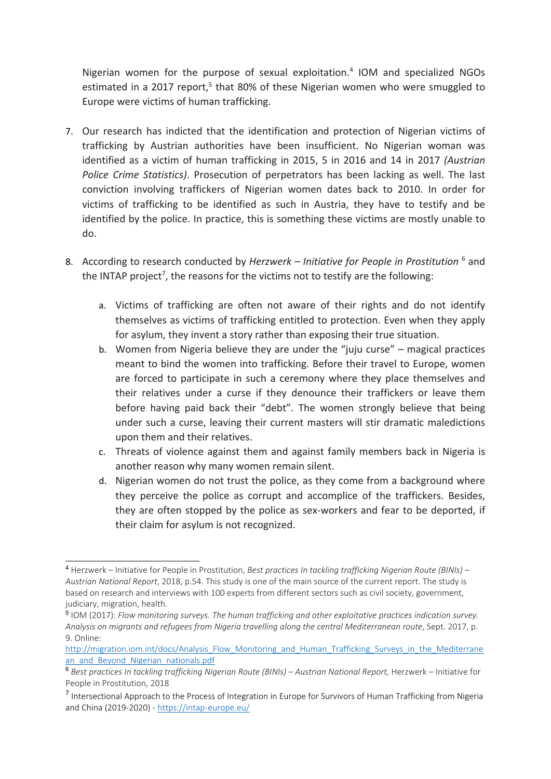Nigerian women for the purpose of sexual exploitation. 4 IOM and specialized NGOs estimated in a 2017 report,<sup>5</sup> that 80% of these Nigerian women who were smuggled to Europe were victims of human trafficking.

- 7. Our research has indicted that the identification and protection of Nigerian victims of trafficking by Austrian authorities have been insufficient. No Nigerian woman was identified as <sup>a</sup> victim of human trafficking in 2015, 5 in 2016 and 14 in 2017 *(Austrian Police Crime Statistics)*. Prosecution of perpetrators has been lacking as well. The last conviction involving traffickers of Nigerian women dates back to 2010. In order for victims of trafficking to be identified as such in Austria, they have to testify and be identified by the police. In practice, this is something these victims are mostly unable to do.
- 8. According to research conducted by *Herzwerk – Initiative for People in Prostitution* <sup>6</sup> and the INTAP project<sup>7</sup>, the reasons for the victims not to testify are the following:
	- a. Victims of trafficking are often not aware of their rights and do not identify themselves as victims of trafficking entitled to protection. Even when they apply for asylum, they invent <sup>a</sup> story rather than exposing their true situation.
	- b. Women from Nigeria believe they are under the "juju curse" magical practices meant to bind the women into trafficking. Before their travel to Europe, women are forced to participate in such <sup>a</sup> ceremony where they place themselves and their relatives under <sup>a</sup> curse if they denounce their traffickers or leave them before having paid back their "debt". The women strongly believe that being under such <sup>a</sup> curse, leaving their current masters will stir dramatic maledictions upon them and their relatives.
	- c. Threats of violence against them and against family members back in Nigeria is another reason why many women remain silent.
	- d. Nigerian women do not trust the police, as they come from <sup>a</sup> background where they perceive the police as corrupt and accomplice of the traffickers. Besides, they are often stopped by the police as sex-workers and fear to be deported, if their claim for asylum is not recognized.

<sup>4</sup> Herzwerk – Initiative for People in Prostitution, *Best practices In tackling trafficking Nigerian Route (BINIs) – Austrian National Report*, 2018, p.54. This study is one of the main source of the current report. The study is based on research and interviews with 100 experts from different sectors such as civil society, government, judiciary, migration, health.

<sup>5</sup> IOM (2017): *Flow monitoring surveys. The human trafficking and other exploitative practices indication survey. Analysis on migrants and refugees from Nigeria travelling along the central Mediterranean route*, Sept. 2017, p. 9. Online:

[http://migration.iom.int/docs/Analysis\\_Flow\\_Monitoring\\_and\\_Human\\_Trafficking\\_Surveys\\_in\\_the\\_Mediterrane](http://migration.iom.int/docs/Analysis_Flow_Monitoring_and_Human_Trafficking_Surveys_in_the_Mediterranean_and_Beyond_Nigerian_nationals.pdf) [an\\_and\\_Beyond\\_Nigerian\\_nationals.pdf](http://migration.iom.int/docs/Analysis_Flow_Monitoring_and_Human_Trafficking_Surveys_in_the_Mediterranean_and_Beyond_Nigerian_nationals.pdf)

<sup>6</sup> *Best practices In tackling trafficking Nigerian Route (BINIs) – Austrian National Report,* Herzwerk – Initiative for People in Prostitution, 2018

<sup>&</sup>lt;sup>7</sup> Intersectional Approach to the Process of Integration in Europe for Survivors of Human Trafficking from Nigeria and China (2019-2020) - <https://intap-europe.eu/>